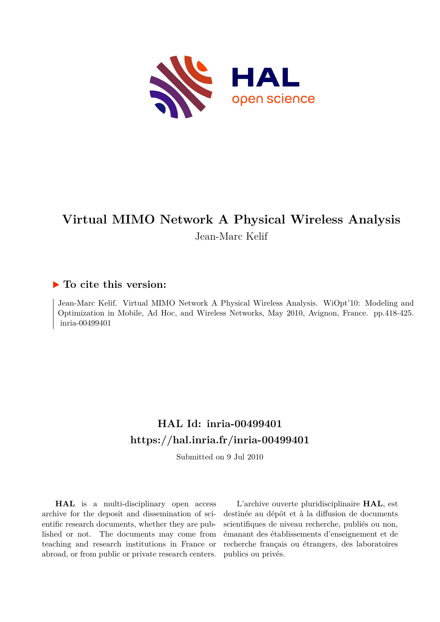

## **Virtual MIMO Network A Physical Wireless Analysis** Jean-Marc Kelif

### **To cite this version:**

Jean-Marc Kelif. Virtual MIMO Network A Physical Wireless Analysis. WiOpt'10: Modeling and Optimization in Mobile, Ad Hoc, and Wireless Networks, May 2010, Avignon, France. pp.418-425. inria-00499401

## **HAL Id: inria-00499401 <https://hal.inria.fr/inria-00499401>**

Submitted on 9 Jul 2010

**HAL** is a multi-disciplinary open access archive for the deposit and dissemination of scientific research documents, whether they are published or not. The documents may come from teaching and research institutions in France or abroad, or from public or private research centers.

L'archive ouverte pluridisciplinaire **HAL**, est destinée au dépôt et à la diffusion de documents scientifiques de niveau recherche, publiés ou non, émanant des établissements d'enseignement et de recherche français ou étrangers, des laboratoires publics ou privés.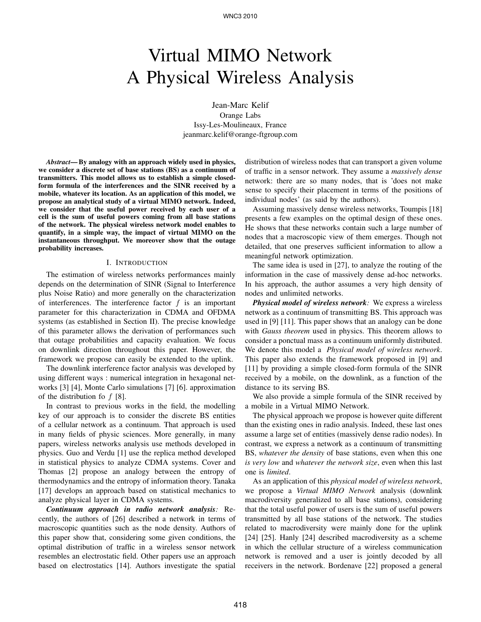# Virtual MIMO Network A Physical Wireless Analysis

Jean-Marc Kelif Orange Labs Issy-Les-Moulineaux, France jeanmarc.kelif@orange-ftgroup.com

*Abstract*— By analogy with an approach widely used in physics, we consider a discrete set of base stations (BS) as a continuum of transmitters. This model allows us to establish a simple closedform formula of the interferences and the SINR received by a mobile, whatever its location. As an application of this model, we propose an analytical study of a virtual MIMO network. Indeed, we consider that the useful power received by each user of a cell is the sum of useful powers coming from all base stations of the network. The physical wireless network model enables to quantify, in a simple way, the impact of virtual MIMO on the instantaneous throughput. We moreover show that the outage probability increases.

#### I. INTRODUCTION

The estimation of wireless networks performances mainly depends on the determination of SINR (Signal to Interference plus Noise Ratio) and more generally on the characterization of interferences. The interference factor  $f$  is an important parameter for this characterization in CDMA and OFDMA systems (as established in Section II). The precise knowledge of this parameter allows the derivation of performances such that outage probabilities and capacity evaluation. We focus on downlink direction throughout this paper. However, the framework we propose can easily be extended to the uplink.

The downlink interference factor analysis was developed by using different ways : numerical integration in hexagonal networks [3] [4], Monte Carlo simulations [7] [6]. approximation of the distribution fo  $f$  [8].

In contrast to previous works in the field, the modelling key of our approach is to consider the discrete BS entities of a cellular network as a continuum. That approach is used in many fields of physic sciences. More generally, in many papers, wireless networks analysis use methods developed in physics. Guo and Verdu [1] use the replica method developed in statistical physics to analyze CDMA systems. Cover and Thomas [2] propose an analogy between the entropy of thermodynamics and the entropy of information theory. Tanaka [17] develops an approach based on statistical mechanics to analyze physical layer in CDMA systems.

*Continuum approach in radio network analysis:* Recently, the authors of [26] described a network in terms of macroscopic quantities such as the node density. Authors of this paper show that, considering some given conditions, the optimal distribution of traffic in a wireless sensor network resembles an electrostatic field. Other papers use an approach based on electrostatics [14]. Authors investigate the spatial

distribution of wireless nodes that can transport a given volume of traffic in a sensor network. They assume a *massively dense* network: there are so many nodes, that is 'does not make sense to specify their placement in terms of the positions of individual nodes' (as said by the authors).

Assuming massively dense wireless networks, Toumpis [18] presents a few examples on the optimal design of these ones. He shows that these networks contain such a large number of nodes that a macroscopic view of them emerges. Though not detailed, that one preserves sufficient information to allow a meaningful network optimization.

The same idea is used in [27], to analyze the routing of the information in the case of massively dense ad-hoc networks. In his approach, the author assumes a very high density of nodes and unlimited networks.

*Physical model of wireless network:* We express a wireless network as a continuum of transmitting BS. This approach was used in [9] [11]. This paper shows that an analogy can be done with *Gauss theorem* used in physics. This theorem allows to consider a ponctual mass as a continuum uniformly distributed. We denote this model a *Physical model of wireless network*. This paper also extends the framework proposed in [9] and [11] by providing a simple closed-form formula of the SINR received by a mobile, on the downlink, as a function of the distance to its serving BS.

We also provide a simple formula of the SINR received by a mobile in a Virtual MIMO Network.

The physical approach we propose is however quite different than the existing ones in radio analysis. Indeed, these last ones assume a large set of entities (massively dense radio nodes). In contrast, we express a network as a continuum of transmitting BS, *whatever the density* of base stations, even when this one *is very low* and *whatever the network size*, even when this last one is *limited*.

As an application of this *physical model of wireless network*, we propose a *Virtual MIMO Network* analysis (downlink macrodiversity generalized to all base stations), considering that the total useful power of users is the sum of useful powers transmitted by all base stations of the network. The studies related to macrodiversity were mainly done for the uplink [24] [25]. Hanly [24] described macrodiversity as a scheme in which the cellular structure of a wireless communication network is removed and a user is jointly decoded by all receivers in the network. Bordenave [22] proposed a general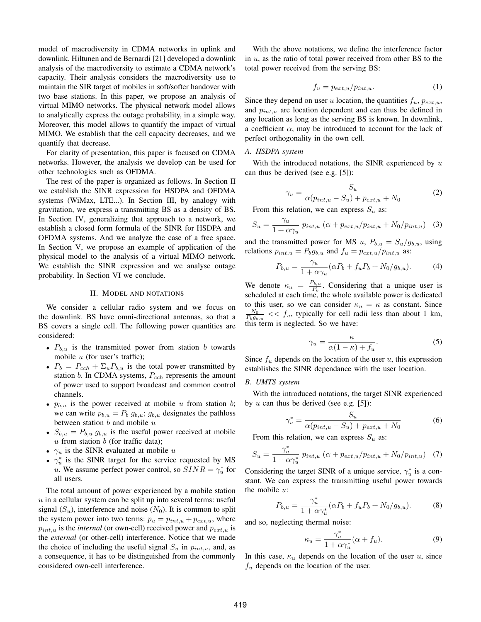model of macrodiversity in CDMA networks in uplink and downlink. Hiltunen and de Bernardi [21] developed a downlink analysis of the macrodiversity to estimate a CDMA network's capacity. Their analysis considers the macrodiversity use to maintain the SIR target of mobiles in soft/softer handover with two base stations. In this paper, we propose an analysis of virtual MIMO networks. The physical network model allows to analytically express the outage probability, in a simple way. Moreover, this model allows to quantify the impact of virtual MIMO. We establish that the cell capacity decreases, and we quantify that decrease.

For clarity of presentation, this paper is focused on CDMA networks. However, the analysis we develop can be used for other technologies such as OFDMA.

The rest of the paper is organized as follows. In Section II we establish the SINR expression for HSDPA and OFDMA systems (WiMax, LTE...). In Section III, by analogy with gravitation, we express a transmitting BS as a density of BS. In Section IV, generalizing that approach to a network, we establish a closed form formula of the SINR for HSDPA and OFDMA systems. And we analyze the case of a free space. In Section V, we propose an example of application of the physical model to the analysis of a virtual MIMO network. We establish the SINR expression and we analyse outage probability. In Section VI we conclude.

#### II. MODEL AND NOTATIONS

We consider a cellular radio system and we focus on the downlink. BS have omni-directional antennas, so that a BS covers a single cell. The following power quantities are considered:

- $P_{b,u}$  is the transmitted power from station b towards mobile  $u$  (for user's traffic);
- $P_b = P_{cch} + \sum_u P_{b,u}$  is the total power transmitted by station  $b$ . In CDMA systems,  $P_{cch}$  represents the amount of power used to support broadcast and common control channels.
- $p_{b,u}$  is the power received at mobile u from station b; we can write  $p_{b,u} = P_b g_{b,u}$ ;  $g_{b,u}$  designates the pathloss between station  $b$  and mobile  $u$
- $S_{b,u} = P_{b,u} g_{b,u}$  is the useful power received at mobile  $u$  from station  $b$  (for traffic data);
- $\gamma_u$  is the SINR evaluated at mobile u
- $\gamma_u^*$  is the SINR target for the service requested by MS *u*. We assume perfect power control, so  $SINR = \gamma_u^*$  for all users.

The total amount of power experienced by a mobile station  $u$  in a cellular system can be split up into several terms: useful signal  $(S_u)$ , interference and noise  $(N_0)$ . It is common to split the system power into two terms:  $p_u = p_{int,u} + p_{ext,u}$ , where  $p_{int,u}$  is the *internal* (or own-cell) received power and  $p_{ext,u}$  is the *external* (or other-cell) interference. Notice that we made the choice of including the useful signal  $S_u$  in  $p_{int,u}$ , and, as a consequence, it has to be distinguished from the commonly considered own-cell interference.

With the above notations, we define the interference factor in  $u$ , as the ratio of total power received from other BS to the total power received from the serving BS:

$$
f_u = p_{ext,u}/p_{int,u}.\tag{1}
$$

Since they depend on user u location, the quantities  $f_u$ ,  $p_{ext,u}$ , and  $p_{int,u}$  are location dependent and can thus be defined in any location as long as the serving BS is known. In downlink, a coefficient  $\alpha$ , may be introduced to account for the lack of perfect orthogonality in the own cell.

#### *A. HSDPA system*

With the introduced notations, the SINR experienced by  $u$ can thus be derived (see e.g. [5]):

$$
\gamma_u = \frac{S_u}{\alpha(p_{int,u} - S_u) + p_{ext,u} + N_0} \tag{2}
$$

From this relation, we can express  $S_u$  as:

$$
S_u = \frac{\gamma_u}{1 + \alpha \gamma_u} p_{int,u} \left( \alpha + p_{ext,u} / p_{int,u} + N_0 / p_{int,u} \right) \tag{3}
$$

and the transmitted power for MS u,  $P_{b,u} = S_u/g_{b,u}$ , using relations  $p_{int,u} = P_b g_{b,u}$  and  $f_u = p_{ext,u}/p_{int,u}$  as:

$$
P_{b,u} = \frac{\gamma_u}{1 + \alpha \gamma_u} (\alpha P_b + f_u P_b + N_0 / g_{b,u}). \tag{4}
$$

We denote  $\kappa_u = \frac{P_{b,u}}{P_b}$ . Considering that a unique user is scheduled at each time, the whole available power is dedicated to this user, so we can consider  $\kappa_u = \kappa$  as constant. Since  $\frac{N_0}{P_b g_{b,u}}$  <<  $f_u$ , typically for cell radii less than about 1 km, this term is neglected. So we have:

$$
\gamma_u = \frac{\kappa}{\alpha(1-\kappa) + f_u}.\tag{5}
$$

Since  $f_u$  depends on the location of the user u, this expression establishes the SINR dependance with the user location.

#### *B. UMTS system*

With the introduced notations, the target SINR experienced by u can thus be derived (see e.g. [5]):

$$
\gamma_u^* = \frac{S_u}{\alpha(p_{int,u} - S_u) + p_{ext,u} + N_0} \tag{6}
$$

From this relation, we can express  $S_u$  as:

$$
S_u = \frac{\gamma_u^*}{1 + \alpha \gamma_u^*} p_{int,u} \left( \alpha + p_{ext,u} / p_{int,u} + N_0 / p_{int,u} \right) \tag{7}
$$

Considering the target SINR of a unique service,  $\gamma_u^*$  is a constant. We can express the transmitting useful power towards the mobile  $u$ :

$$
P_{b,u} = \frac{\gamma_u^*}{1 + \alpha \gamma_u^*} (\alpha P_b + f_u P_b + N_0 / g_{b,u}).
$$
 (8)

and so, neglecting thermal noise:

$$
\kappa_u = \frac{\gamma_u^*}{1 + \alpha \gamma_u^*} (\alpha + f_u). \tag{9}
$$

In this case,  $\kappa_u$  depends on the location of the user u, since  $f_u$  depends on the location of the user.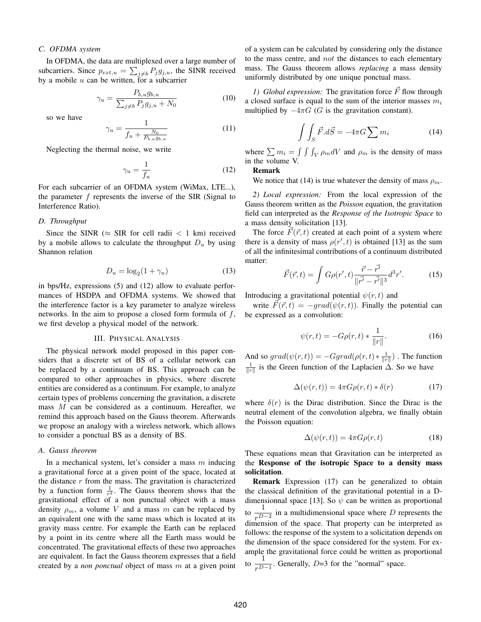#### *C. OFDMA system*

In OFDMA, the data are multiplexed over a large number of subcarriers. Since  $p_{ext,u} = \sum_{j \neq b} P_j g_{j,u}$ , the SINR received by a mobile u can be written, for a subcarrier

$$
\gamma_u = \frac{P_{b,u}g_{b,u}}{\sum_{j\neq b} P_j g_{j,u} + N_0}
$$
\n(10)

so we have

$$
\gamma_u = \frac{1}{f_u + \frac{N_0}{P_{b,u}g_{b,u}}}
$$
(11)

Neglecting the thermal noise, we write

$$
\gamma_u = \frac{1}{f_u} \tag{12}
$$

For each subcarrier of an OFDMA system (WiMax, LTE...), the parameter f represents the inverse of the SIR (Signal to Interference Ratio).

#### *D. Throughput*

Since the SINR ( $\approx$  SIR for cell radii  $\lt$  1 km) received by a mobile allows to calculate the throughput  $D_u$  by using Shannon relation

$$
D_u = \log_2(1 + \gamma_u) \tag{13}
$$

in bps/Hz, expressions (5) and (12) allow to evaluate performances of HSDPA and OFDMA systems. We showed that the interference factor is a key parameter to analyze wireless networks. In the aim to propose a closed form formula of  $f$ , we first develop a physical model of the network.

#### III. PHYSICAL ANALYSIS

The physical network model proposed in this paper considers that a discrete set of BS of a cellular network can be replaced by a continuum of BS. This approach can be compared to other approaches in physics, where discrete entities are considered as a continuum. For example, to analyze certain types of problems concerning the gravitation, a discrete mass M can be considered as a continuum. Hereafter, we remind this approach based on the Gauss theorem. Afterwards we propose an analogy with a wireless network, which allows to consider a ponctual BS as a density of BS.

#### *A. Gauss theorem*

In a mechanical system, let's consider a mass  $m$  inducing a gravitational force at a given point of the space, located at the distance  $r$  from the mass. The gravitation is characterized by a function form  $\frac{1}{r^2}$ . The Gauss theorem shows that the gravitational effect of a non punctual object with a mass density  $\rho_m$ , a volume V and a mass m can be replaced by an equivalent one with the same mass which is located at its gravity mass centre. For example the Earth can be replaced by a point in its centre where all the Earth mass would be concentrated. The gravitational effects of these two approaches are equivalent. In fact the Gauss theorem expresses that a field created by a *non ponctual* object of mass m at a given point

of a system can be calculated by considering only the distance to the mass centre, and not the distances to each elementary mass. The Gauss theorem allows *replacing* a mass density uniformly distributed by one unique ponctual mass.

*1)* Global expression: The gravitation force  $\vec{F}$  flow through a closed surface is equal to the sum of the interior masses  $m_i$ multiplied by  $-4\pi G$  (G is the gravitation constant).

$$
\int \int_{S} \vec{F} \cdot d\vec{S} = -4\pi G \sum m_i \tag{14}
$$

where  $\sum m_i = \int \int \int_V \rho_m dV$  and  $\rho_m$  is the density of mass in the volume V.

#### Remark

We notice that (14) is true whatever the density of mass  $\rho_m$ .

*2) Local expression:* From the local expression of the Gauss theorem written as the *Poisson* equation, the gravitation field can interpreted as the *Response of the Isotropic Space* to a mass density solicitation [13].

The force  $F(\vec{r}, t)$  created at each point of a system where there is a density of mass  $\rho(r',t)$  is obtained [13] as the sum of all the infinitesimal contributions of a continuum distributed matter:

$$
\vec{F}(\vec{r},t) = \int G\rho(r',t) \frac{\vec{r} - \vec{r'}}{\|\vec{r'} - \vec{r'}\|^3} d^3r'. \tag{15}
$$

Introducing a gravitational potential  $\psi(r, t)$  and

write  $\vec{F}(\vec{r}, t) = -\text{grad}(\psi(r, t))$ . Finally the potential can be expressed as a convolution:

$$
\psi(r,t) = -G\rho(r,t) * \frac{1}{\|r\|}.
$$
 (16)

And so  $grad(\psi(r,t)) = -Ggrad(\rho(r,t) * \frac{1}{\|r\|})$ . The function  $\frac{1}{\|r\|}$  is the Green function of the Laplacien  $\Delta$ . So we have

$$
\Delta(\psi(r,t)) = 4\pi G\rho(r,t) * \delta(r) \tag{17}
$$

where  $\delta(r)$  is the Dirac distribution. Since the Dirac is the neutral element of the convolution algebra, we finally obtain the Poisson equation:

$$
\Delta(\psi(r,t)) = 4\pi G\rho(r,t) \tag{18}
$$

These equations mean that Gravitation can be interpreted as the Response of the isotropic Space to a density mass solicitation.

Remark Expression (17) can be generalized to obtain the classical definition of the gravitational potential in a Ddimensionnal space [13]. So  $\psi$  can be written as proportional to  $\frac{1}{r^{D-2}}$  in a multidimensional space where D represents the dimension of the space. That property can be interpreted as follows: the response of the system to a solicitation depends on the dimension of the space considered for the system. For example the gravitational force could be written as proportional to  $\frac{1}{r^{D-1}}$ . Generally, D=3 for the "normal" space.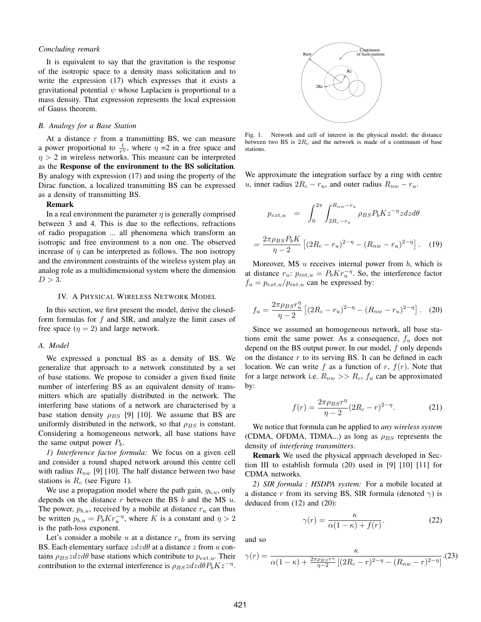#### *Concluding remark*

It is equivalent to say that the gravitation is the response of the isotropic space to a density mass solicitation and to write the expression (17) which expresses that it exists a gravitational potential  $\psi$  whose Laplacien is proportional to a mass density. That expression represents the local expression of Gauss theorem.

#### *B. Analogy for a Base Station*

At a distance  $r$  from a transmitting BS, we can measure a power proportional to  $\frac{1}{r\eta}$ , where  $\eta = 2$  in a free space and  $n > 2$  in wireless networks. This measure can be interpreted as the Response of the environment to the BS solicitation. By analogy with expression (17) and using the property of the Dirac function, a localized transmitting BS can be expressed as a density of transmitting BS.

#### Remark

In a real environment the parameter  $\eta$  is generally comprised between 3 and 4. This is due to the reflections, refractions of radio propagation ... all phenomena which transform an isotropic and free environment to a non one. The observed increase of  $\eta$  can be interpreted as follows. The non isotropy and the environment constraints of the wireless system play an analog role as a multidimensional system where the dimension  $D > 3$ .

#### IV. A PHYSICAL WIRELESS NETWORK MODEL

In this section, we first present the model, derive the closedform formulas for  $f$  and SIR, and analyze the limit cases of free space  $(\eta = 2)$  and large network.

#### *A. Model*

We expressed a ponctual BS as a density of BS. We generalize that approach to a network constituted by a set of base stations. We propose to consider a given fixed finite number of interfering BS as an equivalent density of transmitters which are spatially distributed in the network. The interfering base stations of a network are characterised by a base station density  $\rho_{BS}$  [9] [10]. We assume that BS are uniformly distributed in the network, so that  $\rho_{BS}$  is constant. Considering a homogeneous network, all base stations have the same output power  $P<sub>b</sub>$ .

*1) Interference factor formula:* We focus on a given cell and consider a round shaped network around this centre cell with radius  $R_{nw}$  [9] [10]. The half distance between two base stations is  $R_c$  (see Figure 1).

We use a propagation model where the path gain,  $g_{b,u}$ , only depends on the distance  $r$  between the BS  $b$  and the MS  $u$ . The power,  $p_{b,u}$ , received by a mobile at distance  $r_u$  can thus be written  $p_{b,u} = P_b K r_u^{-\eta}$ , where K is a constant and  $\eta > 2$ is the path-loss exponent.

Let's consider a mobile u at a distance  $r<sub>u</sub>$  from its serving BS. Each elementary surface  $zdzd\theta$  at a distance z from u contains  $\rho_{BS}zdzd\theta$  base stations which contribute to  $p_{ext,u}$ . Their contribution to the external interference is  $\rho_{BS}zdzd\theta P_bKz^{-\eta}$ .



Fig. 1. Network and cell of interest in the physical model; the distance between two BS is 2R*<sup>c</sup>* and the network is made of a continuum of base stations.

We approximate the integration surface by a ring with centre u, inner radius  $2R_c - r_u$ , and outer radius  $R_{nw} - r_u$ .

$$
p_{ext,u} = \int_0^{2\pi} \int_{2R_c - r_u}^{R_{nw} - r_u} \rho_{BS} P_b K z^{-\eta} z dz d\theta
$$

$$
= \frac{2\pi \rho_{BS} P_b K}{\eta - 2} \left[ (2R_c - r_u)^{2-\eta} - (R_{nw} - r_u)^{2-\eta} \right]. \quad (19)
$$

Moreover, MS  $u$  receives internal power from  $b$ , which is at distance  $r_u$ :  $p_{int,u} = P_b K r_u^{-\eta}$ . So, the interference factor  $f_u = p_{ext,u}/p_{int,u}$  can be expressed by:

$$
f_u = \frac{2\pi \rho_B s r_u^{\eta}}{\eta - 2} \left[ (2R_c - r_u)^{2-\eta} - (R_{nw} - r_u)^{2-\eta} \right].
$$
 (20)

Since we assumed an homogeneous network, all base stations emit the same power. As a consequence,  $f_u$  does not depend on the BS output power. In our model, f only depends on the distance  $r$  to its serving BS. It can be defined in each location. We can write f as a function of r,  $f(r)$ . Note that for a large network i.e.  $R_{nw} >> R_c$ ,  $f_u$  can be approximated by:

$$
f(r) = \frac{2\pi \rho_{BS}r^{\eta}}{\eta - 2}(2R_c - r)^{2-\eta}.
$$
 (21)

We notice that formula can be applied to *any wireless system* (CDMA, OFDMA, TDMA...) as long as  $\rho_{BS}$  represents the density of *interfering transmitters*.

Remark We used the physical approach developed in Section III to establish formula (20) used in [9] [10] [11] for CDMA networks.

*2) SIR formula : HSDPA system:* For a mobile located at a distance r from its serving BS, SIR formula (denoted  $\gamma$ ) is deduced from (12) and (20):

$$
\gamma(r) = \frac{\kappa}{\alpha(1-\kappa) + f(r)}.\tag{22}
$$

and so

$$
\gamma(r) = \frac{\kappa}{\alpha(1-\kappa) + \frac{2\pi\rho_{BS}r^{\eta}}{\eta - 2} \left[ (2R_c - r)^{2-\eta} - (R_{nw} - r)^{2-\eta} \right]}.(23)
$$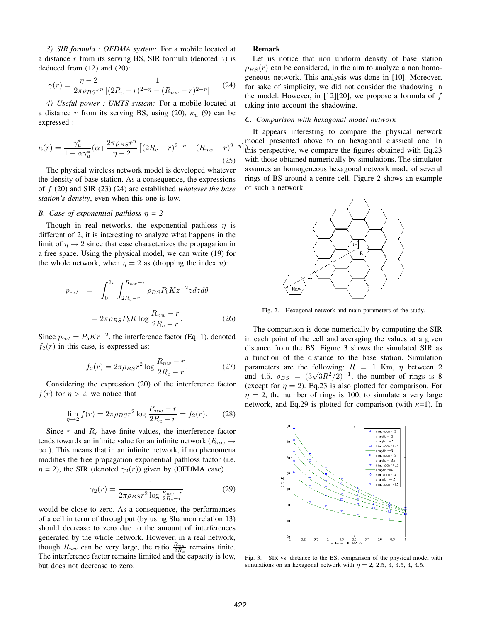*3) SIR formula : OFDMA system:* For a mobile located at a distance r from its serving BS, SIR formula (denoted  $\gamma$ ) is deduced from (12) and (20):

$$
\gamma(r) = \frac{\eta - 2}{2\pi\rho_{BS}r^{\eta}} \frac{1}{[(2R_c - r)^{2-\eta} - (R_{nw} - r)^{2-\eta}]}.
$$
 (24)

*4) Useful power : UMTS system:* For a mobile located at a distance r from its serving BS, using (20),  $\kappa_u$  (9) can be expressed :

$$
\kappa(r) = \frac{\gamma_u^*}{1 + \alpha \gamma_u^*} (\alpha + \frac{2\pi \rho_{BS} r^{\eta}}{\eta - 2} \left[ (2R_c - r)^{2 - \eta} - (R_{nw} - r)^{2 - \eta} \right]
$$
\n(25)

The physical wireless network model is developed whatever the density of base station. As a consequence, the expressions of f (20) and SIR (23) (24) are established *whatever the base station's density*, even when this one is low.

#### *B. Case of exponential pathloss* η *= 2*

Though in real networks, the exponential pathloss  $\eta$  is different of 2, it is interesting to analyze what happens in the limit of  $\eta \rightarrow 2$  since that case characterizes the propagation in a free space. Using the physical model, we can write (19) for the whole network, when  $\eta = 2$  as (dropping the index u):

$$
p_{ext} = \int_0^{2\pi} \int_{2R_c-r}^{R_{nw}-r} \rho_{BS} P_b K z^{-2} z dz d\theta
$$

$$
= 2\pi \rho_{BS} P_b K \log \frac{R_{nw}-r}{2R_c-r}.
$$
(26)

Since  $p_{int} = P_b K r^{-2}$ , the interference factor (Eq. 1), denoted  $f_2(r)$  in this case, is expressed as:

$$
f_2(r) = 2\pi \rho_{BS} r^2 \log \frac{R_{nw} - r}{2R_c - r}.
$$
 (27)

Considering the expression (20) of the interference factor  $f(r)$  for  $\eta > 2$ , we notice that

$$
\lim_{\eta \to 2} f(r) = 2\pi \rho_{BS} r^2 \log \frac{R_{nw} - r}{2R_c - r} = f_2(r). \tag{28}
$$

Since  $r$  and  $R_c$  have finite values, the interference factor tends towards an infinite value for an infinite network ( $R_{nw} \rightarrow$  $\infty$ ). This means that in an infinite network, if no phenomena modifies the free propagation exponential pathloss factor (i.e.  $\eta$  = 2), the SIR (denoted  $\gamma_2(r)$ ) given by (OFDMA case)

$$
\gamma_2(r) = \frac{1}{2\pi \rho_{BS} r^2 \log \frac{R_{nw} - r}{2R_c - r}}
$$
(29)

would be close to zero. As a consequence, the performances of a cell in term of throughput (by using Shannon relation 13) should decrease to zero due to the amount of interferences generated by the whole network. However, in a real network, though  $R_{nw}$  can be very large, the ratio  $\frac{R_{nw}}{2R_c}$  remains finite. The interference factor remains limited and the capacity is low, but does not decrease to zero.

#### Remark

Let us notice that non uniform density of base station  $\rho_{BS}(r)$  can be considered, in the aim to analyze a non homogeneous network. This analysis was done in [10]. Moreover, for sake of simplicity, we did not consider the shadowing in the model. However, in  $[12][20]$ , we propose a formula of  $f$ taking into account the shadowing.

#### *C. Comparison with hexagonal model network*

this perspective, we compare the figures obtained with Eq.23 It appears interesting to compare the physical network model presented above to an hexagonal classical one. In with those obtained numerically by simulations. The simulator assumes an homogeneous hexagonal network made of several rings of BS around a centre cell. Figure 2 shows an example of such a network.



Fig. 2. Hexagonal network and main parameters of the study.

The comparison is done numerically by computing the SIR in each point of the cell and averaging the values at a given distance from the BS. Figure 3 shows the simulated SIR as a function of the distance to the base station. Simulation parameters are the following:  $R = 1$  Km,  $\eta$  between 2 and 4.5,  $\rho_{BS} = (3\sqrt{3}R^2/2)^{-1}$ , the number of rings is 8 (except for  $\eta = 2$ ). Eq.23 is also plotted for comparison. For  $\eta = 2$ , the number of rings is 100, to simulate a very large network, and Eq.29 is plotted for comparison (with  $\kappa=1$ ). In



Fig. 3. SIR vs. distance to the BS; comparison of the physical model with simulations on an hexagonal network with  $\eta = 2, 2.5, 3, 3.5, 4, 4.5$ .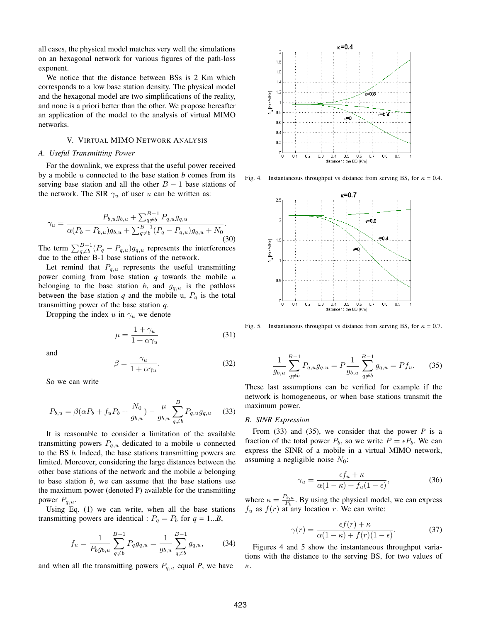all cases, the physical model matches very well the simulations on an hexagonal network for various figures of the path-loss exponent.

We notice that the distance between BSs is 2 Km which corresponds to a low base station density. The physical model and the hexagonal model are two simplifications of the reality, and none is a priori better than the other. We propose hereafter an application of the model to the analysis of virtual MIMO networks.

#### V. VIRTUAL MIMO NETWORK ANALYSIS

#### *A. Useful Transmitting Power*

For the downlink, we express that the useful power received by a mobile u connected to the base station *b* comes from its serving base station and all the other  $B - 1$  base stations of the network. The SIR  $\gamma_u$  of user u can be written as:

$$
\gamma_u = \frac{P_{b,u}g_{b,u} + \sum_{q \neq b}^{B-1} P_{q,u}g_{q,u}}{\alpha(P_b - P_{b,u})g_{b,u} + \sum_{q \neq b}^{B-1} (P_q - P_{q,u})g_{q,u} + N_0}.
$$
\n(30)

The term  $\sum_{q\neq b}^{B-1} (P_q - P_{q,u}) g_{q,u}$  represents the interferences due to the other B-1 base stations of the network.

Let remind that  $P_{q,u}$  represents the useful transmitting power coming from base station *q* towards the mobile *u* belonging to the base station *b*, and  $g_{q,u}$  is the pathloss between the base station  $q$  and the mobile u,  $P_q$  is the total transmitting power of the base station *q*.

Dropping the index u in  $\gamma_u$  we denote

$$
\mu = \frac{1 + \gamma_u}{1 + \alpha \gamma_u} \tag{31}
$$

and

$$
\beta = \frac{\gamma_u}{1 + \alpha \gamma_u}.\tag{32}
$$

So we can write

$$
P_{b,u} = \beta(\alpha P_b + f_u P_b + \frac{N_0}{g_{b,u}}) - \frac{\mu}{g_{b,u}} \sum_{q \neq b}^{B} P_{q,u} g_{q,u} \tag{33}
$$

It is reasonable to consider a limitation of the available transmitting powers  $P_{q,u}$  dedicated to a mobile u connected to the BS b. Indeed, the base stations transmitting powers are limited. Moreover, considering the large distances between the other base stations of the network and the mobile *u* belonging to base station *b*, we can assume that the base stations use the maximum power (denoted P) available for the transmitting power  $P_{q,u}$ .

Using Eq. (1) we can write, when all the base stations transmitting powers are identical :  $P_q = P_b$  for  $q = 1...B$ ,

$$
f_u = \frac{1}{P_b g_{b,u}} \sum_{q \neq b}^{B-1} P_q g_{q,u} = \frac{1}{g_{b,u}} \sum_{q \neq b}^{B-1} g_{q,u}, \quad (34)
$$

and when all the transmitting powers  $P_{q,u}$  equal *P*, we have



Fig. 4. Instantaneous throughput vs distance from serving BS, for  $\kappa = 0.4$ .



Fig. 5. Instantaneous throughput vs distance from serving BS, for  $\kappa = 0.7$ .

$$
\frac{1}{g_{b,u}}\sum_{q\neq b}^{B-1} P_{q,u}g_{q,u} = P\frac{1}{g_{b,u}}\sum_{q\neq b}^{B-1} g_{q,u} = Pf_u.
$$
 (35)

These last assumptions can be verified for example if the network is homogeneous, or when base stations transmit the maximum power.

#### *B. SINR Expression*

From (33) and (35), we consider that the power *P* is a fraction of the total power  $P_b$ , so we write  $P = \epsilon P_b$ . We can express the SINR of a mobile in a virtual MIMO network, assuming a negligible noise  $N_0$ :

$$
\gamma_u = \frac{\epsilon f_u + \kappa}{\alpha (1 - \kappa) + f_u (1 - \epsilon)},\tag{36}
$$

where  $\kappa = \frac{P_{b,u}}{P_b}$ . By using the physical model, we can express  $f_u$  as  $f(r)$  at any location r. We can write:

$$
\gamma(r) = \frac{\epsilon f(r) + \kappa}{\alpha(1 - \kappa) + f(r)(1 - \epsilon)}.
$$
\n(37)

Figures 4 and 5 show the instantaneous throughput variations with the distance to the serving BS, for two values of κ.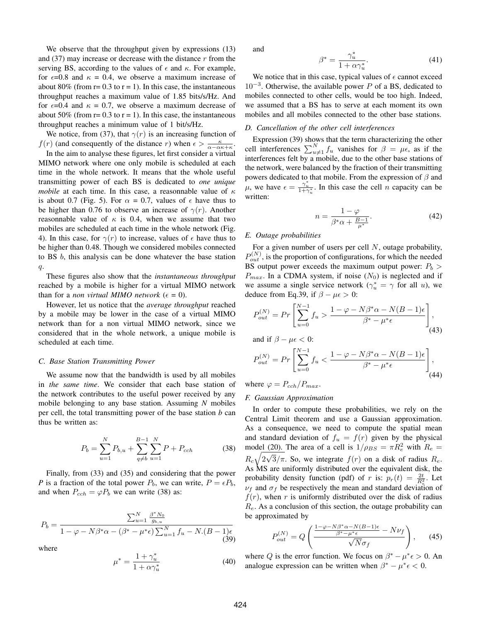We observe that the throughput given by expressions (13) and (37) may increase or decrease with the distance  $r$  from the serving BS, according to the values of  $\epsilon$  and  $\kappa$ . For example, for  $\epsilon$ =0.8 and  $\kappa$  = 0.4, we observe a maximum increase of about 80% (from  $r = 0.3$  to  $r = 1$ ). In this case, the instantaneous throughput reaches a maximum value of 1.85 bits/s/Hz. And for  $\epsilon$ =0.4 and  $\kappa$  = 0.7, we observe a maximum decrease of about 50% (from  $r = 0.3$  to  $r = 1$ ). In this case, the instantaneous throughput reaches a minimum value of 1 bit/s/Hz.

We notice, from (37), that  $\gamma(r)$  is an increasing function of  $f(r)$  (and consequently of the distance r) when  $\epsilon > \frac{\kappa}{\alpha - \alpha \kappa + \kappa}$ .

In the aim to analyse these figures, let first consider a virtual MIMO network where one only mobile is scheduled at each time in the whole network. It means that the whole useful transmitting power of each BS is dedicated to *one unique mobile* at each time. In this case, a reasonnable value of  $\kappa$ is about 0.7 (Fig. 5). For  $\alpha = 0.7$ , values of  $\epsilon$  have thus to be higher than 0.76 to observe an increase of  $\gamma(r)$ . Another reasonnable value of  $\kappa$  is 0.4, when we assume that two mobiles are scheduled at each time in the whole network (Fig. 4). In this case, for  $\gamma(r)$  to increase, values of  $\epsilon$  have thus to be higher than 0.48. Though we considered mobiles connected to BS b, this analysis can be done whatever the base station q.

These figures also show that the *instantaneous throughput* reached by a mobile is higher for a virtual MIMO network than for a *non virtual MIMO network* ( $\epsilon = 0$ ).

However, let us notice that the *average throughput* reached by a mobile may be lower in the case of a virtual MIMO network than for a non virtual MIMO network, since we considered that in the whole network, a unique mobile is scheduled at each time.

#### *C. Base Station Transmitting Power*

We assume now that the bandwidth is used by all mobiles in *the same time*. We consider that each base station of the network contributes to the useful power received by any mobile belonging to any base station. Assuming *N* mobiles per cell, the total transmitting power of the base station *b* can thus be written as:

$$
P_b = \sum_{u=1}^{N} P_{b,u} + \sum_{q \neq b}^{B-1} \sum_{u=1}^{N} P + P_{cch}
$$
 (38)

Finally, from (33) and (35) and considering that the power *P* is a fraction of the total power  $P_b$ , we can write,  $P = \epsilon P_b$ , and when  $P_{ech} = \varphi P_b$  we can write (38) as:

$$
P_b = \frac{\sum_{u=1}^{N} \frac{\beta^* N_0}{g_{b,u}}}{1 - \varphi - N\beta^* \alpha - (\beta^* - \mu^*\epsilon) \sum_{u=1}^{N} f_u - N.(B - 1)\epsilon}
$$
(39)

where

$$
\mu^* = \frac{1 + \gamma_u^*}{1 + \alpha \gamma_u^*} \tag{40}
$$

and

$$
\beta^* = \frac{\gamma_u^*}{1 + \alpha \gamma_u^*}.\tag{41}
$$

We notice that in this case, typical values of  $\epsilon$  cannot exceed  $10^{-3}$ . Otherwise, the available power P of a BS, dedicated to mobiles connected to other cells, would be too high. Indeed, we assumed that a BS has to serve at each moment its own mobiles and all mobiles connected to the other base stations.

#### *D. Cancellation of the other cell interferences*

Expression (39) shows that the term characterizing the other cell interferences  $\sum_{u\neq 1}^{N} f_u$  vanishes for  $\beta = \mu \epsilon$ , as if the interferences felt by a mobile, due to the other base stations of the network, were balanced by the fraction of their transmitting powers dedicated to that mobile. From the expression of  $\beta$  and  $\mu$ , we have  $\epsilon = \frac{\gamma_u^*}{1+\gamma_u^*}$ . In this case the cell *n* capacity can be written:

$$
n = \frac{1 - \varphi}{\beta^* \alpha + \frac{B - 1}{\mu^*}}.\tag{42}
$$

#### *E. Outage probabilities*

For a given number of users per cell  $N$ , outage probability,  $P_{out}^{(N)}$ , is the proportion of configurations, for which the needed BS output power exceeds the maximum output power:  $P_b$  >  $P_{max}$ . In a CDMA system, if noise  $(N_0)$  is neglected and if we assume a single service network ( $\gamma_u^* = \gamma$  for all u), we deduce from Eq.39, if  $\beta - \mu \epsilon > 0$ :

$$
P_{out}^{(N)} = Pr\left[\sum_{u=0}^{N-1} f_u > \frac{1 - \varphi - N\beta^* \alpha - N(B-1)\epsilon}{\beta^* - \mu^*\epsilon}\right],
$$
\n(43)

and if  $\beta - \mu \epsilon < 0$ :

$$
P_{out}^{(N)} = Pr\left[\sum_{u=0}^{N-1} f_u < \frac{1 - \varphi - N\beta^* \alpha - N(B-1)\epsilon}{\beta^* - \mu^*\epsilon}\right],\tag{44}
$$

where  $\varphi = P_{cch}/P_{max}$ .

#### *F. Gaussian Approximation*

In order to compute these probabilities, we rely on the Central Limit theorem and use a Gaussian approximation. As a consequence, we need to compute the spatial mean and standard deviation of  $f_u = f(r)$  given by the physical model (20). The area of a cell is  $1/\rho_{BS} = \pi R_e^2$  with  $R_e =$  $R_c\sqrt{2\sqrt{3}}/\pi$ . So, we integrate  $f(r)$  on a disk of radius  $R_e$ . As MS are uniformly distributed over the equivalent disk, the probability density function (pdf) of r is:  $p_r(t) = \frac{2t}{R_e^2}$ . Let  $\nu_f$  and  $\sigma_f$  be respectively the mean and standard deviation of  $f(r)$ , when r is uniformly distributed over the disk of radius  $R_e$ . As a conclusion of this section, the outage probability can be approximated by

$$
P_{out}^{(N)} = Q\left(\frac{\frac{1-\varphi - N\beta^* \alpha - N(B-1)\epsilon}{\beta^* - \mu^* \epsilon} - N\nu_f}{\sqrt{N}\sigma_f}\right),\qquad(45)
$$

where Q is the error function. We focus on  $\beta^* - \mu^* \epsilon > 0$ . An analogue expression can be written when  $\beta^* - \mu^* \epsilon < 0$ .